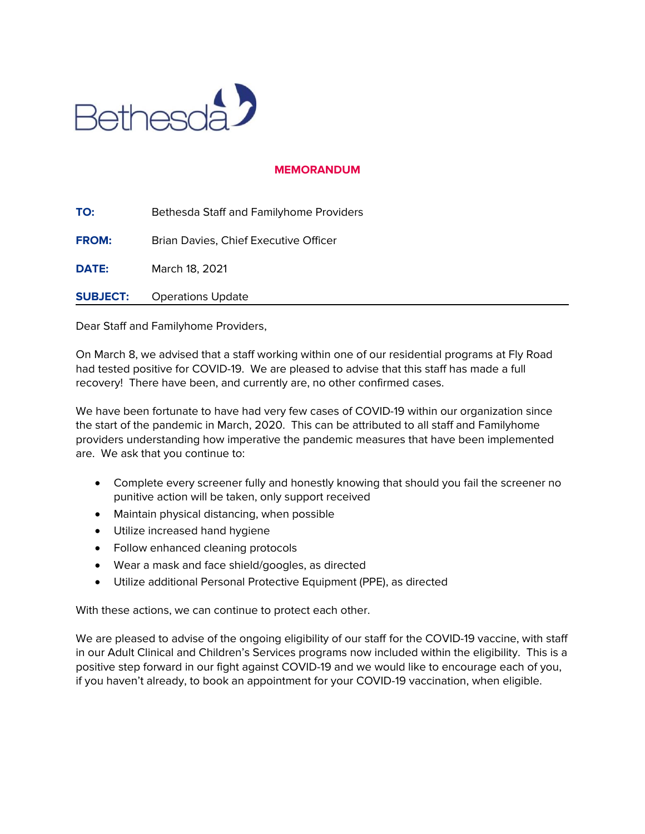

## **MEMORANDUM**

**TO:** Bethesda Staff and Familyhome Providers **FROM:** Brian Davies, Chief Executive Officer **DATE:** March 18, 2021 **SUBJECT:** Operations Update

Dear Staff and Familyhome Providers,

On March 8, we advised that a staff working within one of our residential programs at Fly Road had tested positive for COVID-19. We are pleased to advise that this staff has made a full recovery! There have been, and currently are, no other confirmed cases.

We have been fortunate to have had very few cases of COVID-19 within our organization since the start of the pandemic in March, 2020. This can be attributed to all staff and Familyhome providers understanding how imperative the pandemic measures that have been implemented are. We ask that you continue to:

- Complete every screener fully and honestly knowing that should you fail the screener no punitive action will be taken, only support received
- Maintain physical distancing, when possible
- Utilize increased hand hygiene
- Follow enhanced cleaning protocols
- Wear a mask and face shield/googles, as directed
- Utilize additional Personal Protective Equipment (PPE), as directed

With these actions, we can continue to protect each other.

We are pleased to advise of the ongoing eligibility of our staff for the COVID-19 vaccine, with staff in our Adult Clinical and Children's Services programs now included within the eligibility. This is a positive step forward in our fight against COVID-19 and we would like to encourage each of you, if you haven't already, to book an appointment for your COVID-19 vaccination, when eligible.